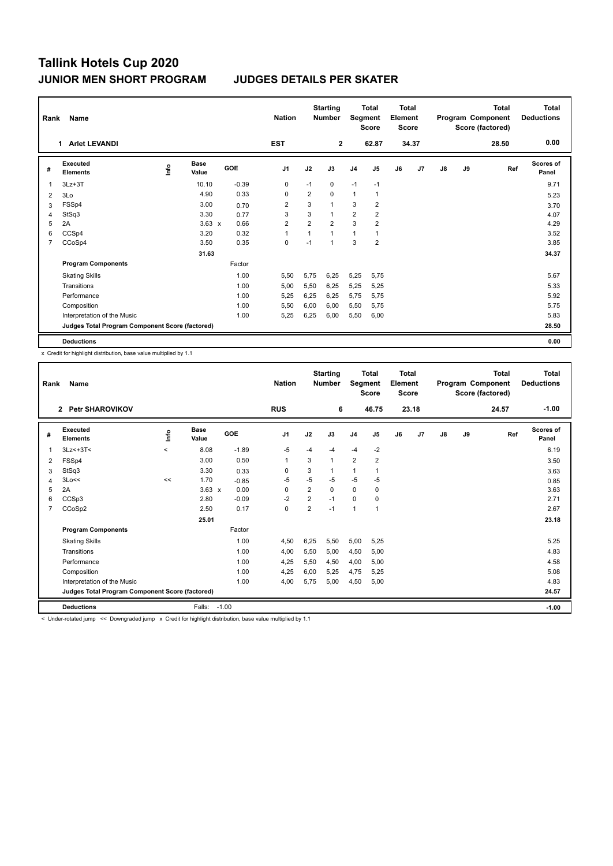| Rank           | Name                                            |    |                      |         | <b>Nation</b>  |                | <b>Starting</b><br><b>Number</b> | Total<br>Segment<br><b>Score</b> |                         | <b>Total</b><br>Element<br><b>Score</b> |       | Total<br>Program Component<br>Score (factored) |    |       | <b>Total</b><br><b>Deductions</b> |
|----------------|-------------------------------------------------|----|----------------------|---------|----------------|----------------|----------------------------------|----------------------------------|-------------------------|-----------------------------------------|-------|------------------------------------------------|----|-------|-----------------------------------|
|                | 1 Arlet LEVANDI                                 |    |                      |         | <b>EST</b>     |                | $\overline{2}$                   |                                  | 62.87                   |                                         | 34.37 |                                                |    | 28.50 | 0.00                              |
| #              | Executed<br><b>Elements</b>                     | ۴ů | <b>Base</b><br>Value | GOE     | J <sub>1</sub> | J2             | J3                               | J <sub>4</sub>                   | J <sub>5</sub>          | J6                                      | J7    | $\mathsf{J}8$                                  | J9 | Ref   | Scores of<br>Panel                |
| 1              | $3Lz + 3T$                                      |    | 10.10                | $-0.39$ | 0              | $-1$           | 0                                | $-1$                             | $-1$                    |                                         |       |                                                |    |       | 9.71                              |
| 2              | 3Lo                                             |    | 4.90                 | 0.33    | 0              | $\overline{2}$ | 0                                | $\mathbf{1}$                     | $\mathbf{1}$            |                                         |       |                                                |    |       | 5.23                              |
| 3              | FSSp4                                           |    | 3.00                 | 0.70    | $\overline{2}$ | 3              | $\mathbf{1}$                     | 3                                | 2                       |                                         |       |                                                |    |       | 3.70                              |
| 4              | StSq3                                           |    | 3.30                 | 0.77    | 3              | 3              | $\mathbf{1}$                     | $\overline{2}$                   | $\overline{2}$          |                                         |       |                                                |    |       | 4.07                              |
| 5              | 2A                                              |    | $3.63 \times$        | 0.66    | 2              | $\overline{2}$ | $\overline{2}$                   | 3                                | $\overline{\mathbf{c}}$ |                                         |       |                                                |    |       | 4.29                              |
| 6              | CCSp4                                           |    | 3.20                 | 0.32    | 1              |                | $\mathbf{1}$                     | $\mathbf{1}$                     | 1                       |                                         |       |                                                |    |       | 3.52                              |
| $\overline{7}$ | CCoSp4                                          |    | 3.50                 | 0.35    | 0              | $-1$           | 1                                | 3                                | $\overline{2}$          |                                         |       |                                                |    |       | 3.85                              |
|                |                                                 |    | 31.63                |         |                |                |                                  |                                  |                         |                                         |       |                                                |    |       | 34.37                             |
|                | <b>Program Components</b>                       |    |                      | Factor  |                |                |                                  |                                  |                         |                                         |       |                                                |    |       |                                   |
|                | <b>Skating Skills</b>                           |    |                      | 1.00    | 5,50           | 5,75           | 6,25                             | 5,25                             | 5,75                    |                                         |       |                                                |    |       | 5.67                              |
|                | Transitions                                     |    |                      | 1.00    | 5,00           | 5,50           | 6,25                             | 5,25                             | 5,25                    |                                         |       |                                                |    |       | 5.33                              |
|                | Performance                                     |    |                      | 1.00    | 5,25           | 6,25           | 6.25                             | 5,75                             | 5,75                    |                                         |       |                                                |    |       | 5.92                              |
|                | Composition                                     |    |                      | 1.00    | 5,50           | 6,00           | 6,00                             | 5,50                             | 5,75                    |                                         |       |                                                |    |       | 5.75                              |
|                | Interpretation of the Music                     |    |                      | 1.00    | 5,25           | 6,25           | 6,00                             | 5,50                             | 6,00                    |                                         |       |                                                |    |       | 5.83                              |
|                | Judges Total Program Component Score (factored) |    |                      |         |                |                |                                  |                                  |                         |                                         |       |                                                |    |       | 28.50                             |
|                | <b>Deductions</b>                               |    |                      |         |                |                |                                  |                                  |                         |                                         |       |                                                |    |       | 0.00                              |

x Credit for highlight distribution, base value multiplied by 1.1

|                | Name<br>Rank                                                                                                        |             |                      |            |                |                | <b>Starting</b><br><b>Number</b> | <b>Total</b><br>Segment<br><b>Score</b> |                | <b>Total</b><br>Element<br><b>Score</b> |       | Program Component<br>Score (factored) |    | <b>Total</b> | Total<br><b>Deductions</b> |
|----------------|---------------------------------------------------------------------------------------------------------------------|-------------|----------------------|------------|----------------|----------------|----------------------------------|-----------------------------------------|----------------|-----------------------------------------|-------|---------------------------------------|----|--------------|----------------------------|
|                | <b>Petr SHAROVIKOV</b><br>$\overline{2}$                                                                            |             |                      |            | <b>RUS</b>     |                | 6                                |                                         | 46.75          |                                         | 23.18 |                                       |    | 24.57        | $-1.00$                    |
| #              | Executed<br><b>Elements</b>                                                                                         | <u>info</u> | <b>Base</b><br>Value | <b>GOE</b> | J <sub>1</sub> | J2             | J3                               | J <sub>4</sub>                          | J <sub>5</sub> | J6                                      | J7    | J8                                    | J9 | Ref          | <b>Scores of</b><br>Panel  |
| 1              | $3Lz<+3T<$                                                                                                          | $\prec$     | 8.08                 | $-1.89$    | $-5$           | $-4$           | $-4$                             | $-4$                                    | $-2$           |                                         |       |                                       |    |              | 6.19                       |
| 2              | FSSp4                                                                                                               |             | 3.00                 | 0.50       | 1              | 3              |                                  | $\overline{2}$                          | 2              |                                         |       |                                       |    |              | 3.50                       |
| 3              | StSq3                                                                                                               |             | 3.30                 | 0.33       | 0              | 3              |                                  | $\mathbf{1}$                            |                |                                         |       |                                       |    |              | 3.63                       |
| 4              | 3Lo<<                                                                                                               | <<          | 1.70                 | $-0.85$    | $-5$           | $-5$           | $-5$                             | $-5$                                    | $-5$           |                                         |       |                                       |    |              | 0.85                       |
| 5              | 2A                                                                                                                  |             | $3.63 \times$        | 0.00       | 0              | $\overline{2}$ | 0                                | 0                                       | 0              |                                         |       |                                       |    |              | 3.63                       |
| 6              | CCSp3                                                                                                               |             | 2.80                 | $-0.09$    | $-2$           | 2              | $-1$                             | $\mathbf 0$                             | 0              |                                         |       |                                       |    |              | 2.71                       |
| $\overline{7}$ | CCoSp2                                                                                                              |             | 2.50                 | 0.17       | $\Omega$       | $\overline{2}$ | $-1$                             | $\mathbf{1}$                            | 1              |                                         |       |                                       |    |              | 2.67                       |
|                |                                                                                                                     |             | 25.01                |            |                |                |                                  |                                         |                |                                         |       |                                       |    |              | 23.18                      |
|                | <b>Program Components</b>                                                                                           |             |                      | Factor     |                |                |                                  |                                         |                |                                         |       |                                       |    |              |                            |
|                | <b>Skating Skills</b>                                                                                               |             |                      | 1.00       | 4,50           | 6,25           | 5,50                             | 5,00                                    | 5,25           |                                         |       |                                       |    |              | 5.25                       |
|                | Transitions                                                                                                         |             |                      | 1.00       | 4,00           | 5,50           | 5,00                             | 4,50                                    | 5,00           |                                         |       |                                       |    |              | 4.83                       |
|                | Performance                                                                                                         |             |                      | 1.00       | 4,25           | 5,50           | 4,50                             | 4,00                                    | 5,00           |                                         |       |                                       |    |              | 4.58                       |
|                | Composition                                                                                                         |             |                      | 1.00       | 4,25           | 6,00           | 5,25                             | 4,75                                    | 5,25           |                                         |       |                                       |    |              | 5.08                       |
|                | Interpretation of the Music                                                                                         |             |                      | 1.00       | 4,00           | 5,75           | 5,00                             | 4,50                                    | 5,00           |                                         |       |                                       |    |              | 4.83                       |
|                | Judges Total Program Component Score (factored)                                                                     |             |                      |            |                |                |                                  |                                         |                |                                         |       |                                       |    |              | 24.57                      |
|                | <b>Deductions</b>                                                                                                   |             | Falls:               | $-1.00$    |                |                |                                  |                                         |                |                                         |       |                                       |    |              | $-1.00$                    |
|                | The decomposed from the absolute deal from the Acciding for English and analysis to be concluded as distribution of |             |                      |            |                |                |                                  |                                         |                |                                         |       |                                       |    |              |                            |

<< Downgraded jump x Credit for highlight distribution, base value multiplied by 1.1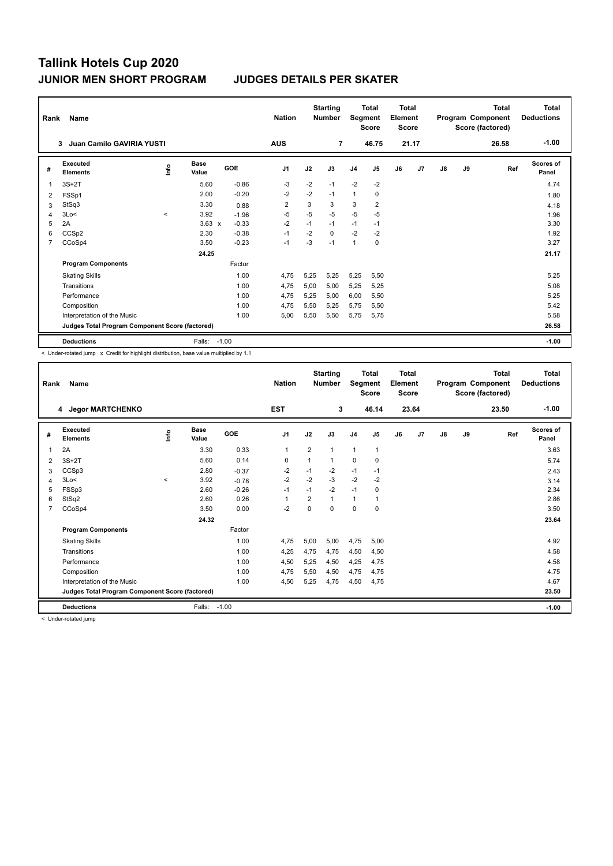| Rank           | Name                                            |         |                      |            | <b>Nation</b>  |      | <b>Starting</b><br><b>Number</b> | Segment        | <b>Total</b><br><b>Score</b> | Total<br>Element<br><b>Score</b> |                |    |    | Total<br>Program Component<br>Score (factored) | Total<br><b>Deductions</b> |
|----------------|-------------------------------------------------|---------|----------------------|------------|----------------|------|----------------------------------|----------------|------------------------------|----------------------------------|----------------|----|----|------------------------------------------------|----------------------------|
|                | Juan Camilo GAVIRIA YUSTI<br>3                  |         |                      |            | <b>AUS</b>     |      | $\overline{7}$                   |                | 46.75                        |                                  | 21.17          |    |    | 26.58                                          | $-1.00$                    |
| #              | Executed<br><b>Elements</b>                     | ۴ů      | <b>Base</b><br>Value | <b>GOE</b> | J <sub>1</sub> | J2   | J3                               | J <sub>4</sub> | J5                           | J6                               | J <sub>7</sub> | J8 | J9 | Ref                                            | <b>Scores of</b><br>Panel  |
| $\mathbf 1$    | $3S+2T$                                         |         | 5.60                 | $-0.86$    | $-3$           | $-2$ | $-1$                             | $-2$           | $-2$                         |                                  |                |    |    |                                                | 4.74                       |
| 2              | FSSp1                                           |         | 2.00                 | $-0.20$    | $-2$           | $-2$ | $-1$                             | $\mathbf{1}$   | 0                            |                                  |                |    |    |                                                | 1.80                       |
| 3              | StSq3                                           |         | 3.30                 | 0.88       | $\overline{2}$ | 3    | 3                                | 3              | $\overline{2}$               |                                  |                |    |    |                                                | 4.18                       |
| $\overline{4}$ | 3Lo<                                            | $\prec$ | 3.92                 | $-1.96$    | $-5$           | $-5$ | $-5$                             | $-5$           | $-5$                         |                                  |                |    |    |                                                | 1.96                       |
| 5              | 2A                                              |         | $3.63 \times$        | $-0.33$    | $-2$           | $-1$ | $-1$                             | $-1$           | $-1$                         |                                  |                |    |    |                                                | 3.30                       |
| 6              | CCSp2                                           |         | 2.30                 | $-0.38$    | $-1$           | $-2$ | 0                                | $-2$           | $-2$                         |                                  |                |    |    |                                                | 1.92                       |
| 7              | CCoSp4                                          |         | 3.50                 | $-0.23$    | $-1$           | -3   | $-1$                             | $\mathbf{1}$   | 0                            |                                  |                |    |    |                                                | 3.27                       |
|                |                                                 |         | 24.25                |            |                |      |                                  |                |                              |                                  |                |    |    |                                                | 21.17                      |
|                | <b>Program Components</b>                       |         |                      | Factor     |                |      |                                  |                |                              |                                  |                |    |    |                                                |                            |
|                | <b>Skating Skills</b>                           |         |                      | 1.00       | 4.75           | 5.25 | 5.25                             | 5,25           | 5,50                         |                                  |                |    |    |                                                | 5.25                       |
|                | Transitions                                     |         |                      | 1.00       | 4,75           | 5,00 | 5.00                             | 5,25           | 5,25                         |                                  |                |    |    |                                                | 5.08                       |
|                | Performance                                     |         |                      | 1.00       | 4,75           | 5,25 | 5,00                             | 6,00           | 5,50                         |                                  |                |    |    |                                                | 5.25                       |
|                | Composition                                     |         |                      | 1.00       | 4,75           | 5,50 | 5,25                             | 5,75           | 5,50                         |                                  |                |    |    |                                                | 5.42                       |
|                | Interpretation of the Music                     |         |                      | 1.00       | 5,00           | 5,50 | 5,50                             | 5,75           | 5,75                         |                                  |                |    |    |                                                | 5.58                       |
|                | Judges Total Program Component Score (factored) |         |                      |            |                |      |                                  |                |                              |                                  |                |    |    |                                                | 26.58                      |
|                | <b>Deductions</b>                               |         | Falls:               | $-1.00$    |                |      |                                  |                |                              |                                  |                |    |    |                                                | $-1.00$                    |

< Under-rotated jump x Credit for highlight distribution, base value multiplied by 1.1

|                | Name<br>Rank                                    |             |                      |            | <b>Nation</b>  |                | <b>Starting</b><br><b>Number</b> |                | <b>Total</b><br>Segment<br><b>Score</b> | <b>Total</b><br>Element<br><b>Score</b> |       |               |    | <b>Total</b><br>Program Component<br>Score (factored) | <b>Total</b><br><b>Deductions</b> |
|----------------|-------------------------------------------------|-------------|----------------------|------------|----------------|----------------|----------------------------------|----------------|-----------------------------------------|-----------------------------------------|-------|---------------|----|-------------------------------------------------------|-----------------------------------|
|                | 4 Jegor MARTCHENKO                              |             |                      |            | <b>EST</b>     |                | 3                                |                | 46.14                                   |                                         | 23.64 |               |    | 23.50                                                 | $-1.00$                           |
| #              | Executed<br><b>Elements</b>                     | <b>Info</b> | <b>Base</b><br>Value | <b>GOE</b> | J <sub>1</sub> | J2             | J3                               | J <sub>4</sub> | J <sub>5</sub>                          | J6                                      | J7    | $\mathsf{J}8$ | J9 | Ref                                                   | <b>Scores of</b><br>Panel         |
| 1              | 2A                                              |             | 3.30                 | 0.33       | 1              | $\overline{2}$ | 1                                | 1              | $\mathbf{1}$                            |                                         |       |               |    |                                                       | 3.63                              |
| 2              | $3S+2T$                                         |             | 5.60                 | 0.14       | 0              | $\mathbf 1$    | 1                                | $\mathbf 0$    | 0                                       |                                         |       |               |    |                                                       | 5.74                              |
| 3              | CCSp3                                           |             | 2.80                 | $-0.37$    | -2             | $-1$           | $-2$                             | $-1$           | $-1$                                    |                                         |       |               |    |                                                       | 2.43                              |
| 4              | 3Lo<                                            | $\hat{}$    | 3.92                 | $-0.78$    | $-2$           | $-2$           | $-3$                             | $-2$           | $-2$                                    |                                         |       |               |    |                                                       | 3.14                              |
| 5              | FSSp3                                           |             | 2.60                 | $-0.26$    | $-1$           | $-1$           | $-2$                             | $-1$           | 0                                       |                                         |       |               |    |                                                       | 2.34                              |
| 6              | StSq2                                           |             | 2.60                 | 0.26       | 1              | $\overline{2}$ | 1                                | 1              | 1                                       |                                         |       |               |    |                                                       | 2.86                              |
| $\overline{7}$ | CCoSp4                                          |             | 3.50                 | 0.00       | $-2$           | $\Omega$       | 0                                | $\mathbf 0$    | 0                                       |                                         |       |               |    |                                                       | 3.50                              |
|                |                                                 |             | 24.32                |            |                |                |                                  |                |                                         |                                         |       |               |    |                                                       | 23.64                             |
|                | <b>Program Components</b>                       |             |                      | Factor     |                |                |                                  |                |                                         |                                         |       |               |    |                                                       |                                   |
|                | <b>Skating Skills</b>                           |             |                      | 1.00       | 4,75           | 5,00           | 5,00                             | 4,75           | 5,00                                    |                                         |       |               |    |                                                       | 4.92                              |
|                | Transitions                                     |             |                      | 1.00       | 4,25           | 4,75           | 4,75                             | 4,50           | 4,50                                    |                                         |       |               |    |                                                       | 4.58                              |
|                | Performance                                     |             |                      | 1.00       | 4,50           | 5,25           | 4,50                             | 4,25           | 4,75                                    |                                         |       |               |    |                                                       | 4.58                              |
|                | Composition                                     |             |                      | 1.00       | 4,75           | 5,50           | 4,50                             | 4,75           | 4,75                                    |                                         |       |               |    |                                                       | 4.75                              |
|                | Interpretation of the Music                     |             |                      | 1.00       | 4,50           | 5,25           | 4,75                             | 4,50           | 4,75                                    |                                         |       |               |    |                                                       | 4.67                              |
|                | Judges Total Program Component Score (factored) |             |                      |            |                |                |                                  |                |                                         |                                         |       |               |    |                                                       | 23.50                             |
|                | <b>Deductions</b>                               |             | Falls:               | $-1.00$    |                |                |                                  |                |                                         |                                         |       |               |    |                                                       | $-1.00$                           |

< Under-rotated jump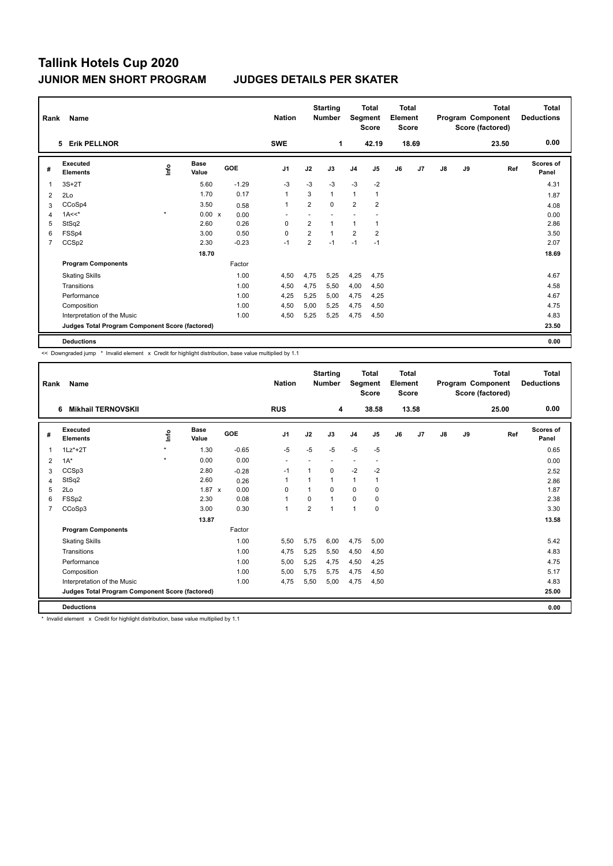| Rank           | Name                                            |         |                      |         | <b>Nation</b>            |                | <b>Starting</b><br><b>Number</b> | <b>Total</b><br>Segment<br><b>Score</b> |                         | <b>Total</b><br>Element<br><b>Score</b> |                | <b>Total</b><br>Program Component<br>Score (factored) |    |       | <b>Total</b><br><b>Deductions</b> |
|----------------|-------------------------------------------------|---------|----------------------|---------|--------------------------|----------------|----------------------------------|-----------------------------------------|-------------------------|-----------------------------------------|----------------|-------------------------------------------------------|----|-------|-----------------------------------|
|                | 5 Erik PELLNOR                                  |         |                      |         | <b>SWE</b>               |                | $\mathbf 1$                      |                                         | 42.19                   |                                         | 18.69          |                                                       |    | 23.50 | 0.00                              |
| #              | <b>Executed</b><br><b>Elements</b>              | ١nf٥    | <b>Base</b><br>Value | GOE     | J <sub>1</sub>           | J2             | J3                               | J <sub>4</sub>                          | J <sub>5</sub>          | J6                                      | J <sub>7</sub> | J8                                                    | J9 | Ref   | <b>Scores of</b><br>Panel         |
| 1              | $3S+2T$                                         |         | 5.60                 | $-1.29$ | $-3$                     | $-3$           | $-3$                             | $-3$                                    | $-2$                    |                                         |                |                                                       |    |       | 4.31                              |
| 2              | 2Lo                                             |         | 1.70                 | 0.17    | $\mathbf{1}$             | 3              | $\mathbf{1}$                     | $\mathbf{1}$                            | $\overline{1}$          |                                         |                |                                                       |    |       | 1.87                              |
| 3              | CCoSp4                                          |         | 3.50                 | 0.58    | 1                        | $\overline{2}$ | $\mathbf 0$                      | $\overline{2}$                          | $\overline{\mathbf{c}}$ |                                         |                |                                                       |    |       | 4.08                              |
| 4              | $1A<<$ *                                        | $\star$ | $0.00 \times$        | 0.00    | $\overline{\phantom{a}}$ |                |                                  |                                         |                         |                                         |                |                                                       |    |       | 0.00                              |
| 5              | StSq2                                           |         | 2.60                 | 0.26    | 0                        | $\overline{2}$ | $\mathbf{1}$                     | 1                                       | 1                       |                                         |                |                                                       |    |       | 2.86                              |
| 6              | FSSp4                                           |         | 3.00                 | 0.50    | 0                        | $\overline{2}$ | $\mathbf{1}$                     | $\overline{2}$                          | $\overline{\mathbf{c}}$ |                                         |                |                                                       |    |       | 3.50                              |
| $\overline{7}$ | CCSp2                                           |         | 2.30                 | $-0.23$ | $-1$                     | $\overline{2}$ | $-1$                             | $-1$                                    | $-1$                    |                                         |                |                                                       |    |       | 2.07                              |
|                |                                                 |         | 18.70                |         |                          |                |                                  |                                         |                         |                                         |                |                                                       |    |       | 18.69                             |
|                | <b>Program Components</b>                       |         |                      | Factor  |                          |                |                                  |                                         |                         |                                         |                |                                                       |    |       |                                   |
|                | <b>Skating Skills</b>                           |         |                      | 1.00    | 4,50                     | 4,75           | 5,25                             | 4,25                                    | 4,75                    |                                         |                |                                                       |    |       | 4.67                              |
|                | Transitions                                     |         |                      | 1.00    | 4,50                     | 4,75           | 5,50                             | 4,00                                    | 4,50                    |                                         |                |                                                       |    |       | 4.58                              |
|                | Performance                                     |         |                      | 1.00    | 4.25                     | 5.25           | 5.00                             | 4,75                                    | 4,25                    |                                         |                |                                                       |    |       | 4.67                              |
|                | Composition                                     |         |                      | 1.00    | 4,50                     | 5,00           | 5,25                             | 4,75                                    | 4,50                    |                                         |                |                                                       |    |       | 4.75                              |
|                | Interpretation of the Music                     |         |                      | 1.00    | 4,50                     | 5,25           | 5,25                             | 4,75                                    | 4,50                    |                                         |                |                                                       |    |       | 4.83                              |
|                | Judges Total Program Component Score (factored) |         |                      |         |                          |                |                                  |                                         |                         |                                         |                |                                                       |    |       | 23.50                             |
|                | <b>Deductions</b>                               |         |                      |         |                          |                |                                  |                                         |                         |                                         |                |                                                       |    |       | 0.00                              |

<< Downgraded jump \* Invalid element x Credit for highlight distribution, base value multiplied by 1.1

| Rank           | Name                                            |             |                      |         | <b>Nation</b>            |                | <b>Starting</b><br><b>Number</b> | Segment        | <b>Total</b><br><b>Score</b> | <b>Total</b><br>Element<br><b>Score</b> |       |               |    | <b>Total</b><br>Program Component<br>Score (factored) | <b>Total</b><br><b>Deductions</b> |
|----------------|-------------------------------------------------|-------------|----------------------|---------|--------------------------|----------------|----------------------------------|----------------|------------------------------|-----------------------------------------|-------|---------------|----|-------------------------------------------------------|-----------------------------------|
|                | <b>Mikhail TERNOVSKII</b><br>6                  |             |                      |         | <b>RUS</b>               |                | 4                                |                | 38.58                        |                                         | 13.58 |               |    | 25.00                                                 | 0.00                              |
| #              | Executed<br><b>Elements</b>                     | <u>info</u> | <b>Base</b><br>Value | GOE     | J <sub>1</sub>           | J2             | J3                               | J <sub>4</sub> | J5                           | J6                                      | J7    | $\mathsf{J}8$ | J9 | Ref                                                   | Scores of<br>Panel                |
| 1              | $1Lz^*+2T$                                      | $\star$     | 1.30                 | $-0.65$ | $-5$                     | $-5$           | $-5$                             | $-5$           | $-5$                         |                                         |       |               |    |                                                       | 0.65                              |
| 2              | $1A^*$                                          | $\star$     | 0.00                 | 0.00    | $\overline{\phantom{a}}$ |                |                                  | ٠              |                              |                                         |       |               |    |                                                       | 0.00                              |
| 3              | CCSp3                                           |             | 2.80                 | $-0.28$ | $-1$                     | 1              | $\Omega$                         | $-2$           | $-2$                         |                                         |       |               |    |                                                       | 2.52                              |
| 4              | StSq2                                           |             | 2.60                 | 0.26    | $\mathbf{1}$             |                | 1                                | $\mathbf{1}$   | 1                            |                                         |       |               |    |                                                       | 2.86                              |
| 5              | 2Lo                                             |             | $1.87 \times$        | 0.00    | 0                        |                | $\Omega$                         | 0              | 0                            |                                         |       |               |    |                                                       | 1.87                              |
| 6              | FSSp2                                           |             | 2.30                 | 0.08    | $\mathbf{1}$             | $\Omega$       | $\overline{1}$                   | 0              | 0                            |                                         |       |               |    |                                                       | 2.38                              |
| $\overline{7}$ | CCoSp3                                          |             | 3.00                 | 0.30    | $\mathbf{1}$             | $\overline{2}$ | $\overline{1}$                   | $\overline{1}$ | $\Omega$                     |                                         |       |               |    |                                                       | 3.30                              |
|                |                                                 |             | 13.87                |         |                          |                |                                  |                |                              |                                         |       |               |    |                                                       | 13.58                             |
|                | <b>Program Components</b>                       |             |                      | Factor  |                          |                |                                  |                |                              |                                         |       |               |    |                                                       |                                   |
|                | <b>Skating Skills</b>                           |             |                      | 1.00    | 5,50                     | 5,75           | 6,00                             | 4,75           | 5,00                         |                                         |       |               |    |                                                       | 5.42                              |
|                | Transitions                                     |             |                      | 1.00    | 4,75                     | 5,25           | 5,50                             | 4,50           | 4,50                         |                                         |       |               |    |                                                       | 4.83                              |
|                | Performance                                     |             |                      | 1.00    | 5,00                     | 5,25           | 4.75                             | 4,50           | 4,25                         |                                         |       |               |    |                                                       | 4.75                              |
|                | Composition                                     |             |                      | 1.00    | 5,00                     | 5,75           | 5,75                             | 4,75           | 4,50                         |                                         |       |               |    |                                                       | 5.17                              |
|                | Interpretation of the Music                     |             |                      | 1.00    | 4,75                     | 5,50           | 5,00                             | 4,75           | 4,50                         |                                         |       |               |    |                                                       | 4.83                              |
|                | Judges Total Program Component Score (factored) |             |                      |         |                          |                |                                  |                |                              |                                         |       |               |    |                                                       | 25.00                             |
|                | <b>Deductions</b>                               |             |                      |         |                          |                |                                  |                |                              |                                         |       |               |    |                                                       | 0.00                              |

\* Invalid element x Credit for highlight distribution, base value multiplied by 1.1